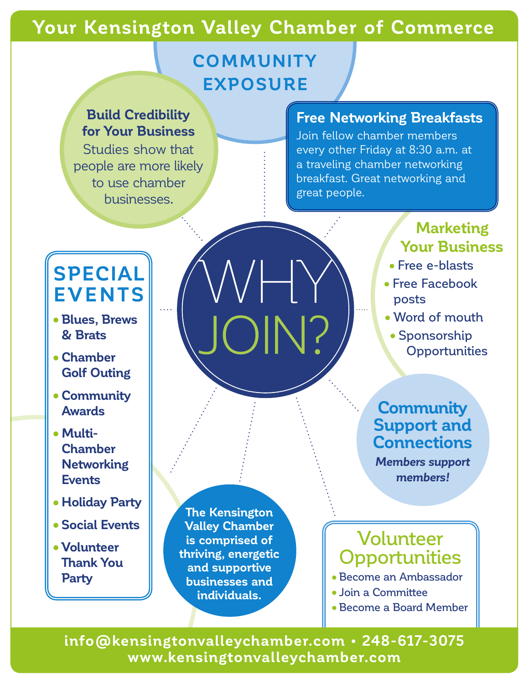## **Your Kensington Valley Chamber of Commerce**

WHY

JOIN?

## **COMMUNITY EXPOSURE**

#### **Build Credibility for Your Business**

Studies show that people are more likely to use chamber businesses.

#### **Free Networking Breakfasts**

Join fellow chamber members every other Friday at 8:30 a.m. at a traveling chamber networking breakfast. Great networking and great people.

# **SPECIAL EVENTS**

- **• Blues, Brews & Brats**
- **• Chamber Golf Outing**
- **• Community Awards**
- **• Multi-Chamber Networking Events**
- **• Holiday Party**
- **• Social Events**
- **• Volunteer Thank You Party**

**The Kensington Valley Chamber is comprised of thriving, energetic and supportive businesses and individuals.**

## **Marketing Your Business**

- Free e-blasts
- Free Facebook posts
- Word of mouth
	- Sponsorship **Opportunities**

### **Community Support and Connections**

*Members support members!*

## Volunteer **Opportunities**

- Become an Ambassador
- Join a Committee
- Become a Board Member

**info@kensingtonvalleychamber.com • 248-617-3075 www.kensingtonvalleychamber.com**